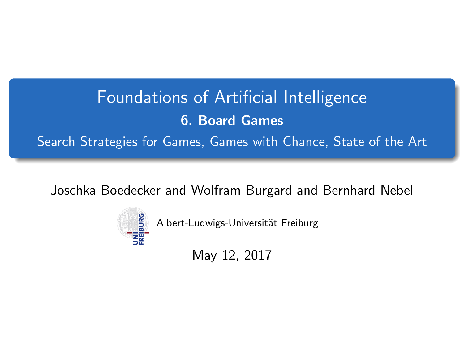# <span id="page-0-0"></span>Foundations of Artificial Intelligence 6. Board Games Search Strategies for Games, Games with Chance, State of the Art

Joschka Boedecker and Wolfram Burgard and Bernhard Nebel



Albert-Ludwigs-Universität Freiburg

May 12, 2017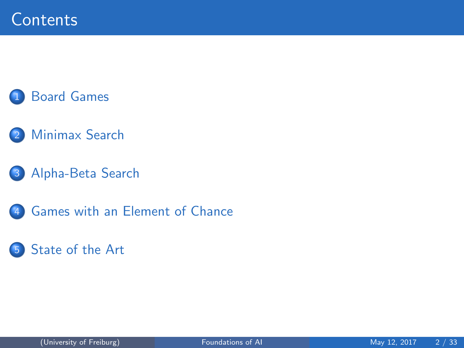#### **[Board Games](#page-2-0)**

- [Minimax Search](#page-4-0)
- 3 [Alpha-Beta Search](#page-9-0)
- 4 [Games with an Element of Chance](#page-27-0)

#### 5 [State of the Art](#page-32-0)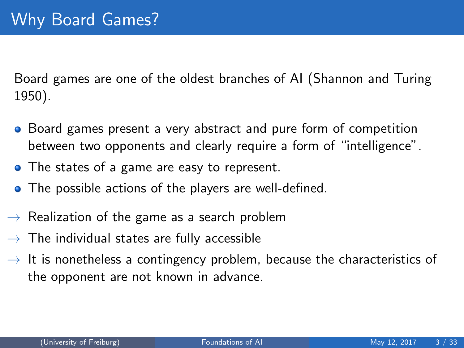<span id="page-2-0"></span>Board games are one of the oldest branches of AI (Shannon and Turing 1950).

- Board games present a very abstract and pure form of competition between two opponents and clearly require a form of "intelligence".
- The states of a game are easy to represent.
- The possible actions of the players are well-defined.
- $\rightarrow$  Realization of the game as a search problem
- $\rightarrow$  The individual states are fully accessible
- $\rightarrow$  It is nonetheless a contingency problem, because the characteristics of the opponent are not known in advance.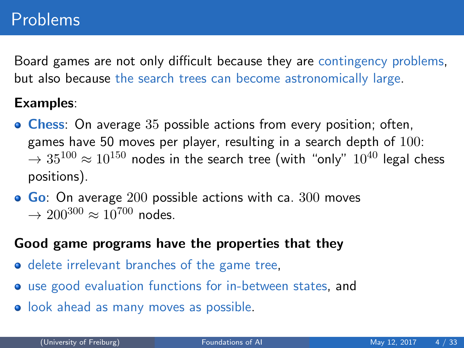Board games are not only difficult because they are contingency problems, but also because the search trees can become astronomically large.

#### Examples:

- **Chess:** On average 35 possible actions from every position; often, games have 50 moves per player, resulting in a search depth of  $100$ :  $\rightarrow 35^{100} \approx 10^{150}$  nodes in the search tree (with "only"  $10^{40}$  legal chess positions).
- $\bullet$  Go: On average 200 possible actions with ca. 300 moves  $\rightarrow 200^{300} \approx 10^{700}$  nodes.

#### Good game programs have the properties that they

- delete irrelevant branches of the game tree,
- use good evaluation functions for in-between states, and
- **•** look ahead as many moves as possible.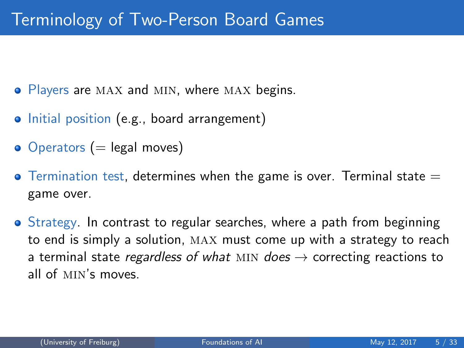- <span id="page-4-0"></span>• Players are MAX and MIN, where MAX begins.
- Initial position (e.g., board arrangement)
- $\bullet$  Operators (= legal moves)
- $\bullet$  Termination test, determines when the game is over. Terminal state  $=$ game over.
- Strategy. In contrast to regular searches, where a path from beginning to end is simply a solution, max must come up with a strategy to reach a terminal state regardless of what MIN does  $\rightarrow$  correcting reactions to all of min's moves.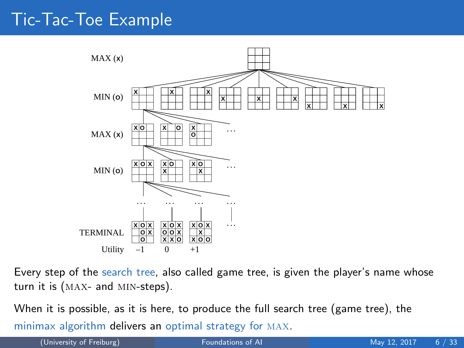#### Tic-Tac-Toe Example



Every step of the search tree, also called game tree, is given the player's name whose turn it is (max- and min-steps).

When it is possible, as it is here, to produce the full search tree (game tree), the minimax algorithm delivers an optimal strategy for max.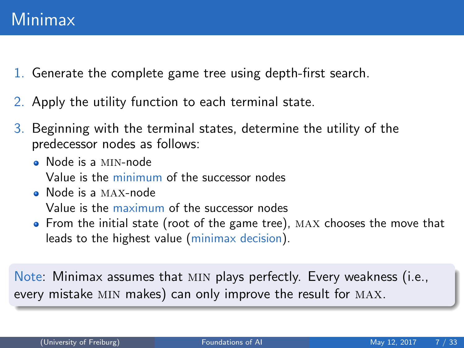- 1. Generate the complete game tree using depth-first search.
- 2. Apply the utility function to each terminal state.
- 3. Beginning with the terminal states, determine the utility of the predecessor nodes as follows:
	- Node is a min-node Value is the minimum of the successor nodes
	- Node is a max-node Value is the maximum of the successor nodes
	- From the initial state (root of the game tree), MAX chooses the move that leads to the highest value (minimax decision).

Note: Minimax assumes that min plays perfectly. Every weakness (i.e., every mistake MIN makes) can only improve the result for MAX.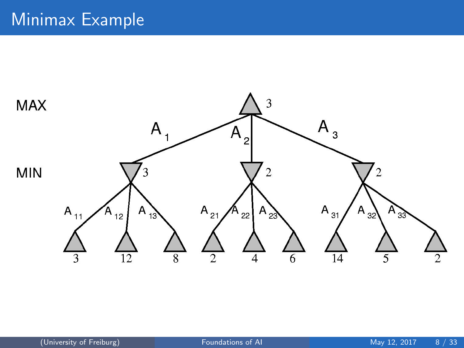#### Minimax Example

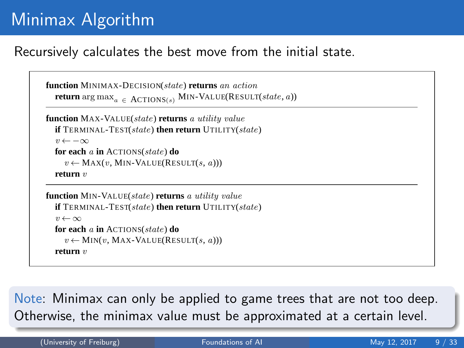## Minimax Algorithm

#### Recursively calculates the best move from the initial state.

```
function MINIMAX-DECISION(state) returns an action
return \arg \max_{a \in \text{ACTIONS}(s)} \text{MIN-VALUE}(\text{RESULT}(state, a))
```

```
function MAX-VALUE(state) returns a utility value
if TERMINAL-TEST(state) then return UTILITY(state)
 v \leftarrow -\inftyfor each a in ACTIONS(state) do
   v \leftarrow \text{MAX}(v, \text{MIN-VALUE}(\text{RESULT}(s, a)))return v
```

```
function MIN-VALUE(state) returns a utility value
if TERMINAL-TEST(state) then return UTILITY(state)
 v \leftarrow \inftyfor each a in ACTIONS(state) do
   v \leftarrow \text{MIN}(v, \text{MAX-VALUE}(\text{RESULT}(s, a)))return v
```
to the best possible move, that is, the move that leads to the outcome with the best utility, under the  $\overline{\mathsf{Note}}$ : Minimax can only be applied to game trees that are not too deep. Otherwise, the minimax value must be approximated at a certain level.  $T$  for notation argument argument as  $\mathcal{S}$  that has the maximum value of  $\mathcal{S}$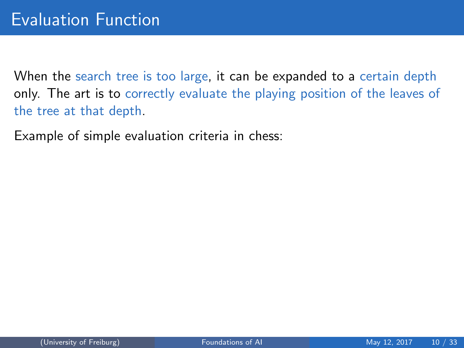<span id="page-9-0"></span>When the search tree is too large, it can be expanded to a certain depth only. The art is to correctly evaluate the playing position of the leaves of the tree at that depth.

Example of simple evaluation criteria in chess: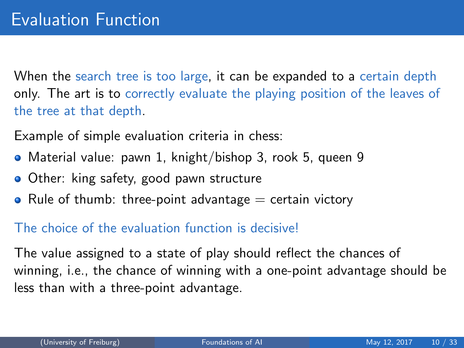When the search tree is too large, it can be expanded to a certain depth only. The art is to correctly evaluate the playing position of the leaves of the tree at that depth.

Example of simple evaluation criteria in chess:

- Material value: pawn 1, knight/bishop 3, rook 5, queen 9
- **Other:** king safety, good pawn structure
- Rule of thumb: three-point advantage  $=$  certain victory

#### The choice of the evaluation function is decisive!

The value assigned to a state of play should reflect the chances of winning, i.e., the chance of winning with a one-point advantage should be less than with a three-point advantage.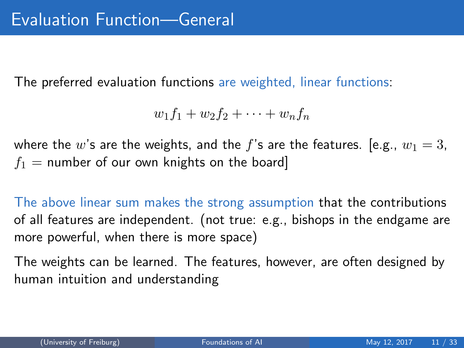The preferred evaluation functions are weighted, linear functions:

$$
w_1f_1+w_2f_2+\cdots+w_nf_n
$$

where the w's are the weights, and the f's are the features. [e.g.,  $w_1 = 3$ ,  $f_1$  = number of our own knights on the board]

The above linear sum makes the strong assumption that the contributions of all features are independent. (not true: e.g., bishops in the endgame are more powerful, when there is more space)

The weights can be learned. The features, however, are often designed by human intuition and understanding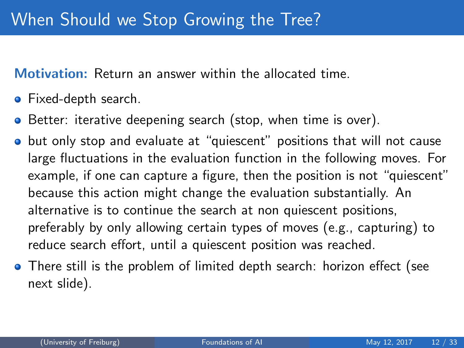Motivation: Return an answer within the allocated time.

- Fixed-depth search.
- **•** Better: iterative deepening search (stop, when time is over).
- **•** but only stop and evaluate at "quiescent" positions that will not cause large fluctuations in the evaluation function in the following moves. For example, if one can capture a figure, then the position is not "quiescent" because this action might change the evaluation substantially. An alternative is to continue the search at non quiescent positions, preferably by only allowing certain types of moves (e.g., capturing) to reduce search effort, until a quiescent position was reached.
- There still is the problem of limited depth search: horizon effect (see next slide).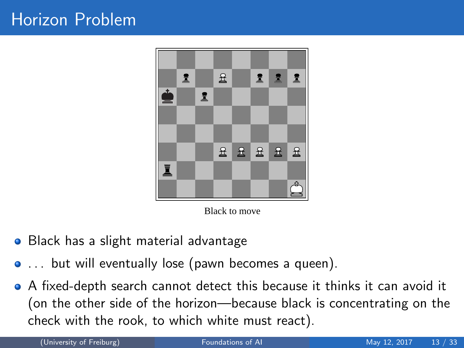

Black to move

- Black has a slight material advantage  $\bullet$
- ... but will eventually lose (pawn becomes a queen).
- A fixed-depth search cannot detect this because it thinks it can avoid it (on the other side of the horizon—because black is concentrating on the check with the rook, to which white must react).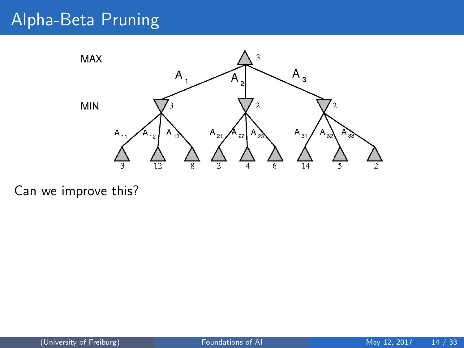## Alpha-Beta Pruning



Can we improve this?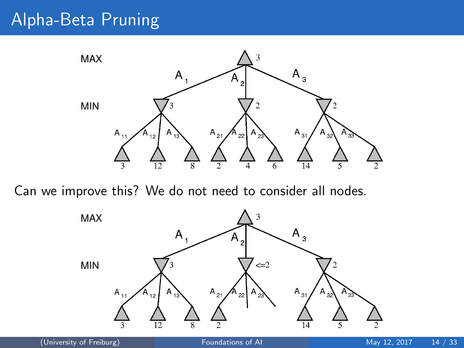## Alpha-Beta Pruning



Can we improve this? We do not need to consider all nodes.

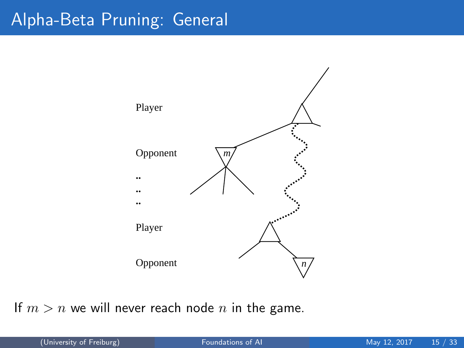## Alpha-Beta Pruning: General



If  $m > n$  we will never reach node n in the game.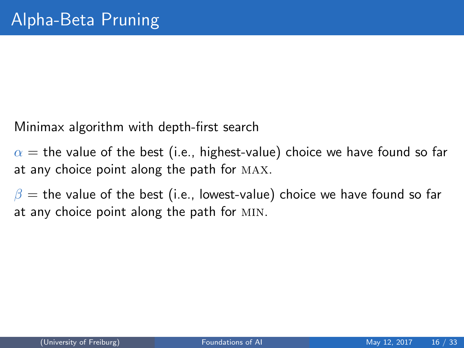Minimax algorithm with depth-first search

 $\alpha$  = the value of the best (i.e., highest-value) choice we have found so far at any choice point along the path for max.

 $\beta$  = the value of the best (i.e., lowest-value) choice we have found so far at any choice point along the path for min.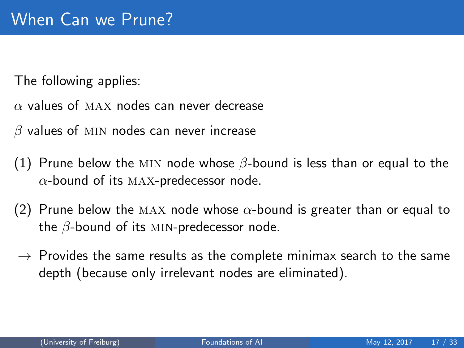The following applies:

 $\alpha$  values of MAX nodes can never decrease

 $\beta$  values of MIN nodes can never increase

- (1) Prune below the MIN node whose  $\beta$ -bound is less than or equal to the  $\alpha$ -bound of its MAX-predecessor node.
- (2) Prune below the MAX node whose  $\alpha$ -bound is greater than or equal to the  $\beta$ -bound of its MIN-predecessor node.
- $\rightarrow$  Provides the same results as the complete minimax search to the same depth (because only irrelevant nodes are eliminated).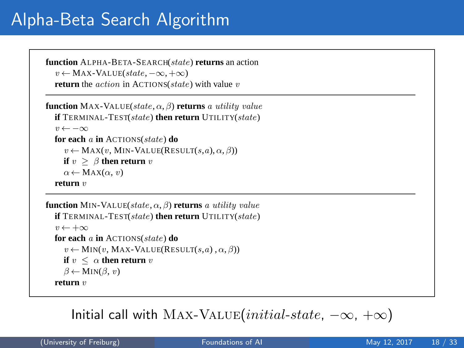## Alpha-Beta Search Algorithm

```
function ALPHA-BETA-SEARCH(state) returns an action
v \leftarrow \text{MAX-VALUE}(state, -\infty, +\infty)return the action in ACTIONS(state) with value v
```

```
function MAX-VALUE(state, \alpha, β) returns a utility value
if TERMINAL-TEST(state) then return UTILITY(state)
 v \leftarrow -\inftyfor each a in ACTIONS(state) do
    v \leftarrow \text{MAX}(v, \text{MIN-VALUE}(\text{RESULT}(s, a), \alpha, \beta))if v > \beta then return v
   \alpha \leftarrow \text{MAX}(\alpha, v)return v
```

```
function MIN-VALUE(state, \alpha, \beta) returns a utility value
if TERMINAL-TEST(state) then return UTILITY(state)
 v \leftarrow +\inftyfor each a in ACTIONS(state) do
    v \leftarrow \text{MIN}(v, \text{MAX-VALUE}(\text{RESULT}(s, a), \alpha, \beta))if v \leq \alpha then return v
   \beta \leftarrow MIN(\beta, v)return v
```
 $\textsf{Initial call with MAX-VALUE} (initial-state, -\infty, +\infty)$ MINIMAX functions in Figure **??**, except for the two lines in each of MIN-VALUE and MAX-VALUE

that maintain α and β (and the bookkeeping to pass these parameters along).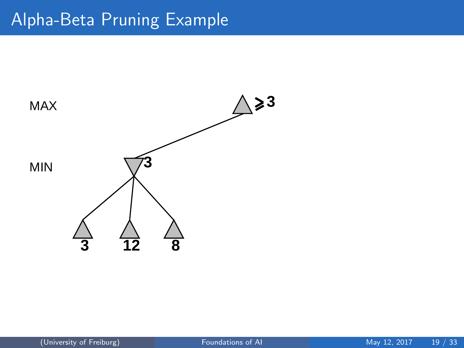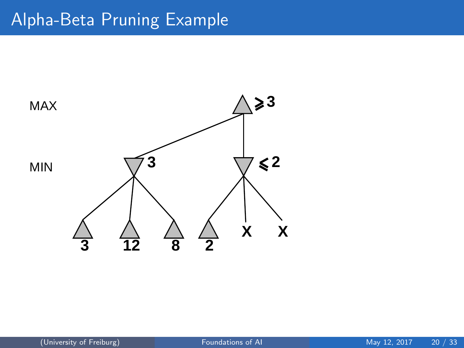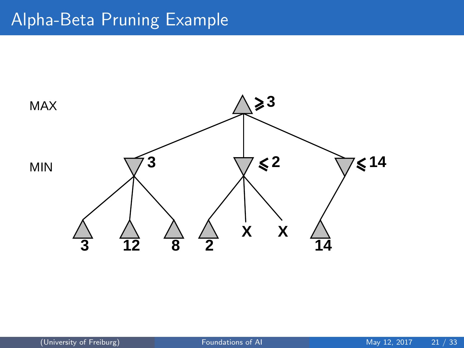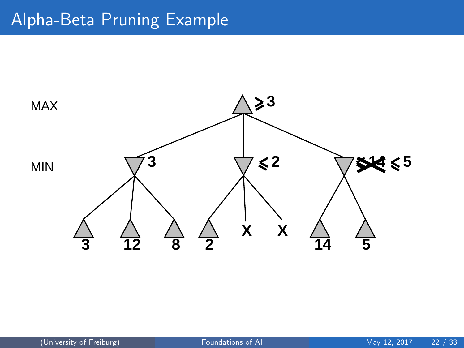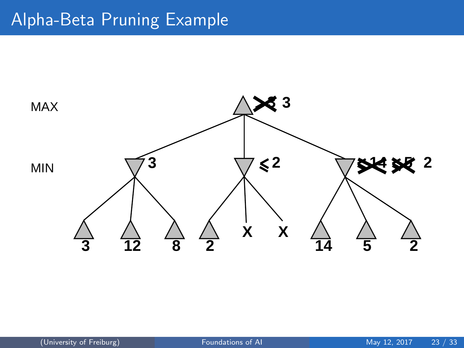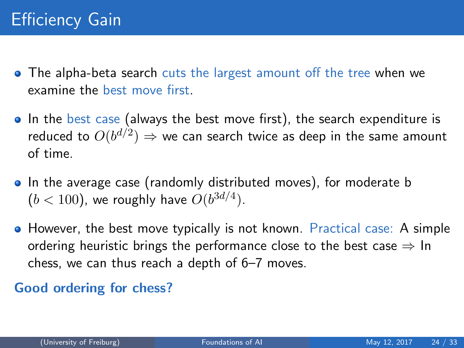- The alpha-beta search cuts the largest amount off the tree when we examine the best move first.
- In the best case (always the best move first), the search expenditure is reduced to  $O(b^{d/2}) \Rightarrow$  we can search twice as deep in the same amount of time.
- In the average case (randomly distributed moves), for moderate b  $(b < 100)$ , we roughly have  $O(b^{3d/4})$ .
- However, the best move typically is not known. Practical case: A simple ordering heuristic brings the performance close to the best case  $\Rightarrow$  In chess, we can thus reach a depth of 6–7 moves.

#### Good ordering for chess?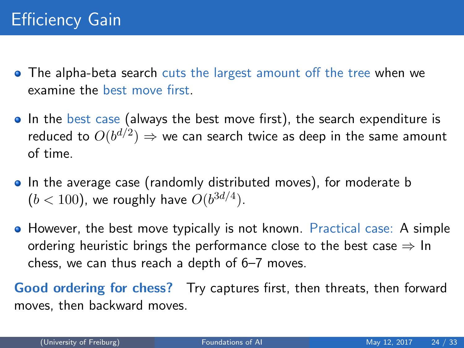- The alpha-beta search cuts the largest amount off the tree when we examine the best move first.
- In the best case (always the best move first), the search expenditure is reduced to  $O(b^{d/2}) \Rightarrow$  we can search twice as deep in the same amount of time.
- In the average case (randomly distributed moves), for moderate b  $(b < 100)$ , we roughly have  $O(b^{3d/4})$ .
- However, the best move typically is not known. Practical case: A simple ordering heuristic brings the performance close to the best case  $\Rightarrow$  In chess, we can thus reach a depth of 6–7 moves.

Good ordering for chess? Try captures first, then threats, then forward moves, then backward moves.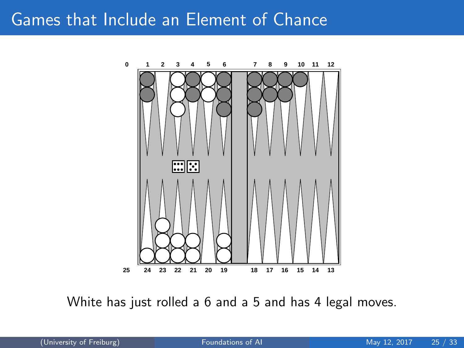#### <span id="page-27-0"></span>Games that Include an Element of Chance



White has just rolled a 6 and a 5 and has 4 legal moves.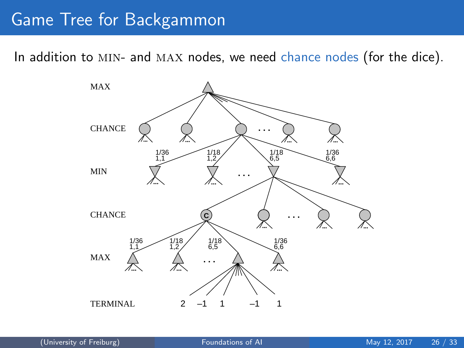#### Game Tree for Backgammon

In addition to MIN- and MAX nodes, we need chance nodes (for the dice).

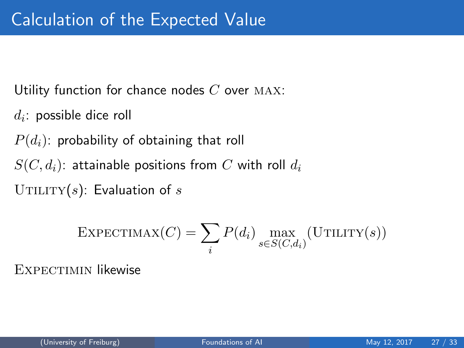Utility function for chance nodes  $C$  over MAX:

 $d_i$ : possible dice roll

 $P(d_i)$ : probability of obtaining that roll

 $S(C, d_i)$ : attainable positions from C with roll  $d_i$ 

UTILITY(s): Evaluation of s

$$
\text{EXPECTIMAX}(C) = \sum_{i} P(d_i) \max_{s \in S(C, d_i)} (\text{UTILITY}(s))
$$

EXPECTIMIN likewise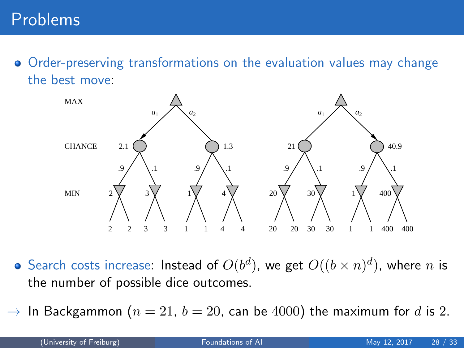Order-preserving transformations on the evaluation values may change the best move:



- Search costs increase: Instead of  $O(b^d)$ , we get  $O((b \times n)^d)$ , where  $n$  is the number of possible dice outcomes.
- $\rightarrow$  In Backgammon ( $n = 21$ ,  $b = 20$ , can be 4000) the maximum for d is 2.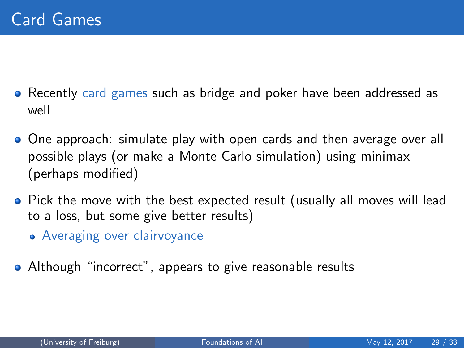- Recently card games such as bridge and poker have been addressed as well
- One approach: simulate play with open cards and then average over all possible plays (or make a Monte Carlo simulation) using minimax (perhaps modified)
- Pick the move with the best expected result (usually all moves will lead to a loss, but some give better results)
	- Averaging over clairvoyance
- Although "incorrect", appears to give reasonable results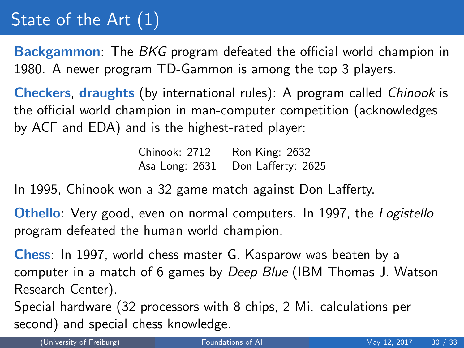# <span id="page-32-0"></span>State of the Art (1)

Backgammon: The BKG program defeated the official world champion in 1980. A newer program TD-Gammon is among the top 3 players.

Checkers, draughts (by international rules): A program called Chinook is the official world champion in man-computer competition (acknowledges by ACF and EDA) and is the highest-rated player:

> Chinook: 2712 Ron King: 2632 Asa Long: 2631 Don Lafferty: 2625

In 1995, Chinook won a 32 game match against Don Lafferty.

Othello: Very good, even on normal computers. In 1997, the Logistello program defeated the human world champion.

Chess: In 1997, world chess master G. Kasparow was beaten by a computer in a match of 6 games by Deep Blue (IBM Thomas J. Watson Research Center).

Special hardware (32 processors with 8 chips, 2 Mi. calculations per second) and special chess knowledge.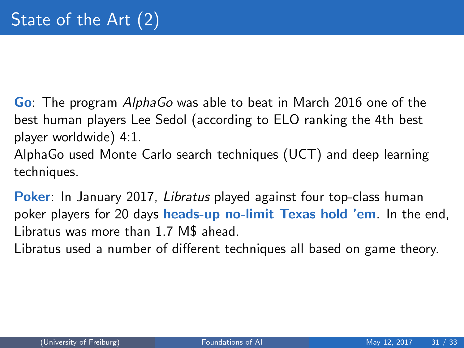Go: The program AlphaGo was able to beat in March 2016 one of the best human players Lee Sedol (according to ELO ranking the 4th best player worldwide) 4:1.

AlphaGo used Monte Carlo search techniques (UCT) and deep learning techniques.

Poker: In January 2017, Libratus played against four top-class human poker players for 20 days heads-up no-limit Texas hold 'em. In the end, Libratus was more than 1.7 M\$ ahead.

Libratus used a number of different techniques all based on game theory.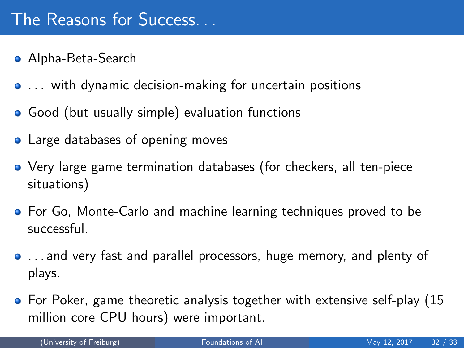- Alpha-Beta-Search
- ... with dynamic decision-making for uncertain positions
- Good (but usually simple) evaluation functions
- Large databases of opening moves
- Very large game termination databases (for checkers, all ten-piece situations)
- **•** For Go, Monte-Carlo and machine learning techniques proved to be successful.
- . . . and very fast and parallel processors, huge memory, and plenty of plays.
- For Poker, game theoretic analysis together with extensive self-play (15 million core CPU hours) were important.